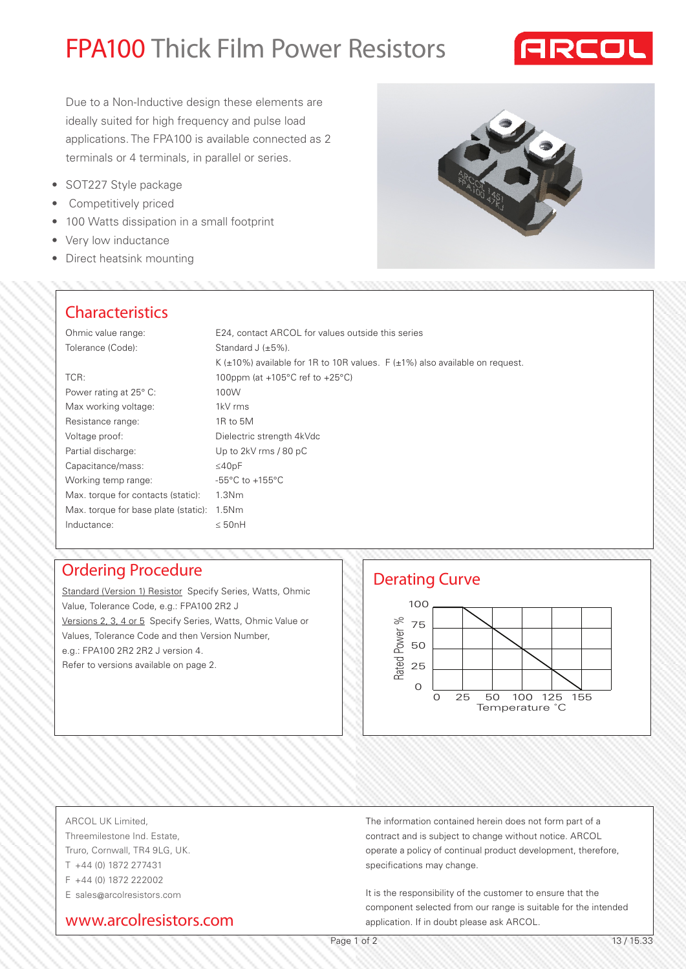# FPA100 Thick Film Power Resistors



Due to a Non-Inductive design these elements are ideally suited for high frequency and pulse load applications. The FPA100 is available connected as 2 terminals or 4 terminals, in parallel or series.

- SOT227 Style package
- • Competitively priced
- 100 Watts dissipation in a small footprint
- Very low inductance
- Direct heatsink mounting



### **Characteristics**

| E24, contact ARCOL for values outside this series                                       |
|-----------------------------------------------------------------------------------------|
| Standard J $(\pm 5\%)$ .                                                                |
| K ( $\pm$ 10%) available for 1R to 10R values. F ( $\pm$ 1%) also available on request. |
| 100ppm (at $+105^{\circ}$ C ref to $+25^{\circ}$ C)                                     |
| 100W                                                                                    |
| 1kV rms                                                                                 |
| 1R to 5M                                                                                |
| Dielectric strength 4kVdc                                                               |
| Up to 2kV rms / 80 pC                                                                   |
| $\leq 40pF$                                                                             |
| $-55^{\circ}$ C to $+155^{\circ}$ C                                                     |
| 1.3 <sub>Nm</sub>                                                                       |
| Max. torque for base plate (static): 1.5Nm                                              |
| $\leq$ 50nH                                                                             |
|                                                                                         |

Standard (Version 1) Resistor Specify Series, Watts, Ohmic Value, Tolerance Code, e.g.: FPA100 2R2 J Versions 2, 3, 4 or 5 Specify Series, Watts, Ohmic Value or Values, Tolerance Code and then Version Number, e.g.: FPA100 2R2 2R2 J version 4. Refer to versions available on page 2.



#### ARCOL UK Limited,

Threemilestone Ind. Estate, Truro, Cornwall, TR4 9LG, UK. T +44 (0) 1872 277431 F +44 (0) 1872 222002 E sales@arcolresistors.com

## www.arcolresistors.com

The information contained herein does not form part of a contract and is subject to change without notice. ARCOL operate a policy of continual product development, therefore, specifications may change.

It is the responsibility of the customer to ensure that the component selected from our range is suitable for the intended application. If in doubt please ask ARCOL.